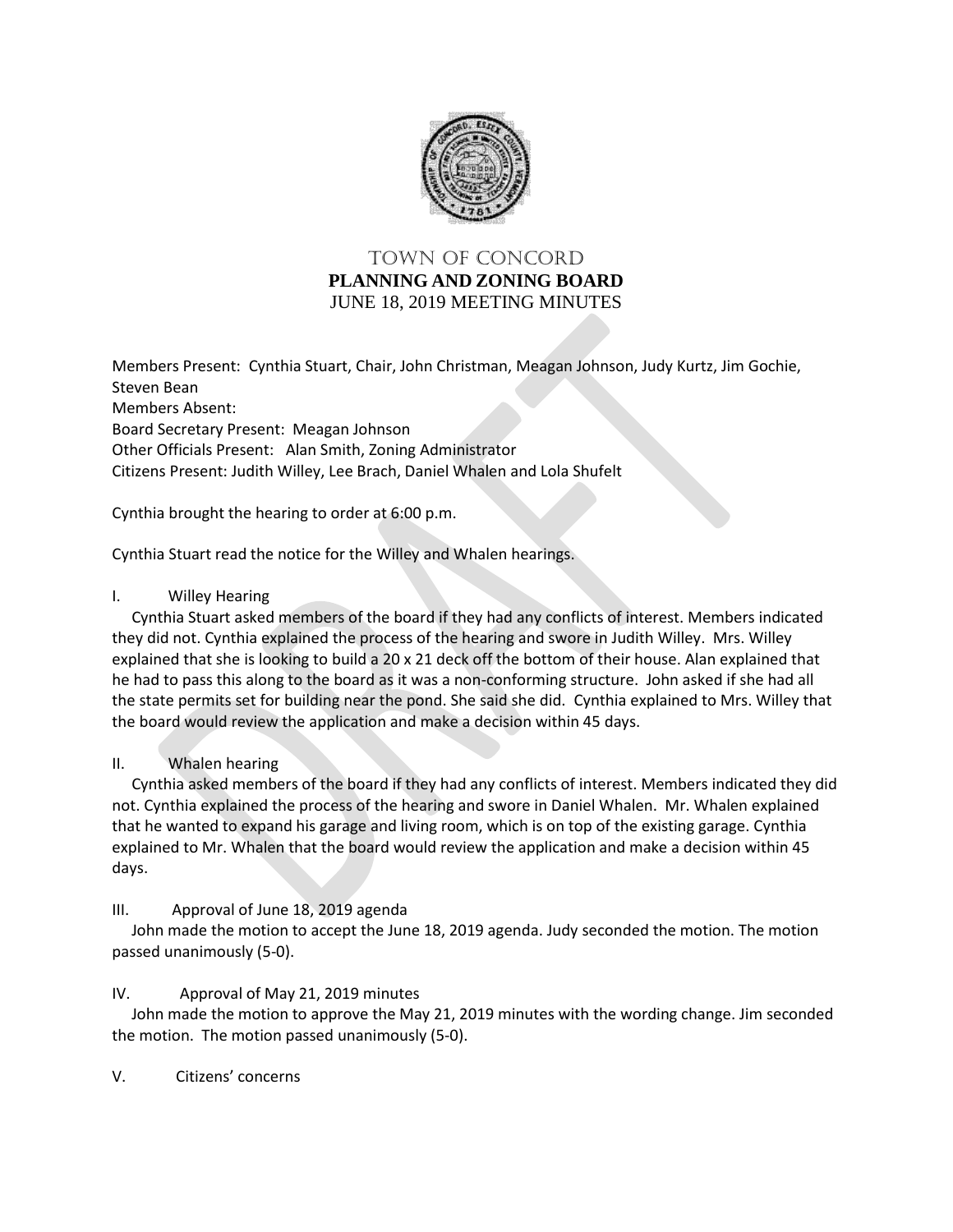

# TOWN OF Concord **PLANNING AND ZONING BOARD** JUNE 18, 2019 MEETING MINUTES

Members Present: Cynthia Stuart, Chair, John Christman, Meagan Johnson, Judy Kurtz, Jim Gochie, Steven Bean Members Absent: Board Secretary Present: Meagan Johnson Other Officials Present: Alan Smith, Zoning Administrator Citizens Present: Judith Willey, Lee Brach, Daniel Whalen and Lola Shufelt

Cynthia brought the hearing to order at 6:00 p.m.

Cynthia Stuart read the notice for the Willey and Whalen hearings.

## I. Willey Hearing

 Cynthia Stuart asked members of the board if they had any conflicts of interest. Members indicated they did not. Cynthia explained the process of the hearing and swore in Judith Willey. Mrs. Willey explained that she is looking to build a 20 x 21 deck off the bottom of their house. Alan explained that he had to pass this along to the board as it was a non-conforming structure. John asked if she had all the state permits set for building near the pond. She said she did. Cynthia explained to Mrs. Willey that the board would review the application and make a decision within 45 days.

## II. Whalen hearing

 Cynthia asked members of the board if they had any conflicts of interest. Members indicated they did not. Cynthia explained the process of the hearing and swore in Daniel Whalen. Mr. Whalen explained that he wanted to expand his garage and living room, which is on top of the existing garage. Cynthia explained to Mr. Whalen that the board would review the application and make a decision within 45 days.

## III. Approval of June 18, 2019 agenda

 John made the motion to accept the June 18, 2019 agenda. Judy seconded the motion. The motion passed unanimously (5-0).

## IV. Approval of May 21, 2019 minutes

 John made the motion to approve the May 21, 2019 minutes with the wording change. Jim seconded the motion. The motion passed unanimously (5-0).

V. Citizens' concerns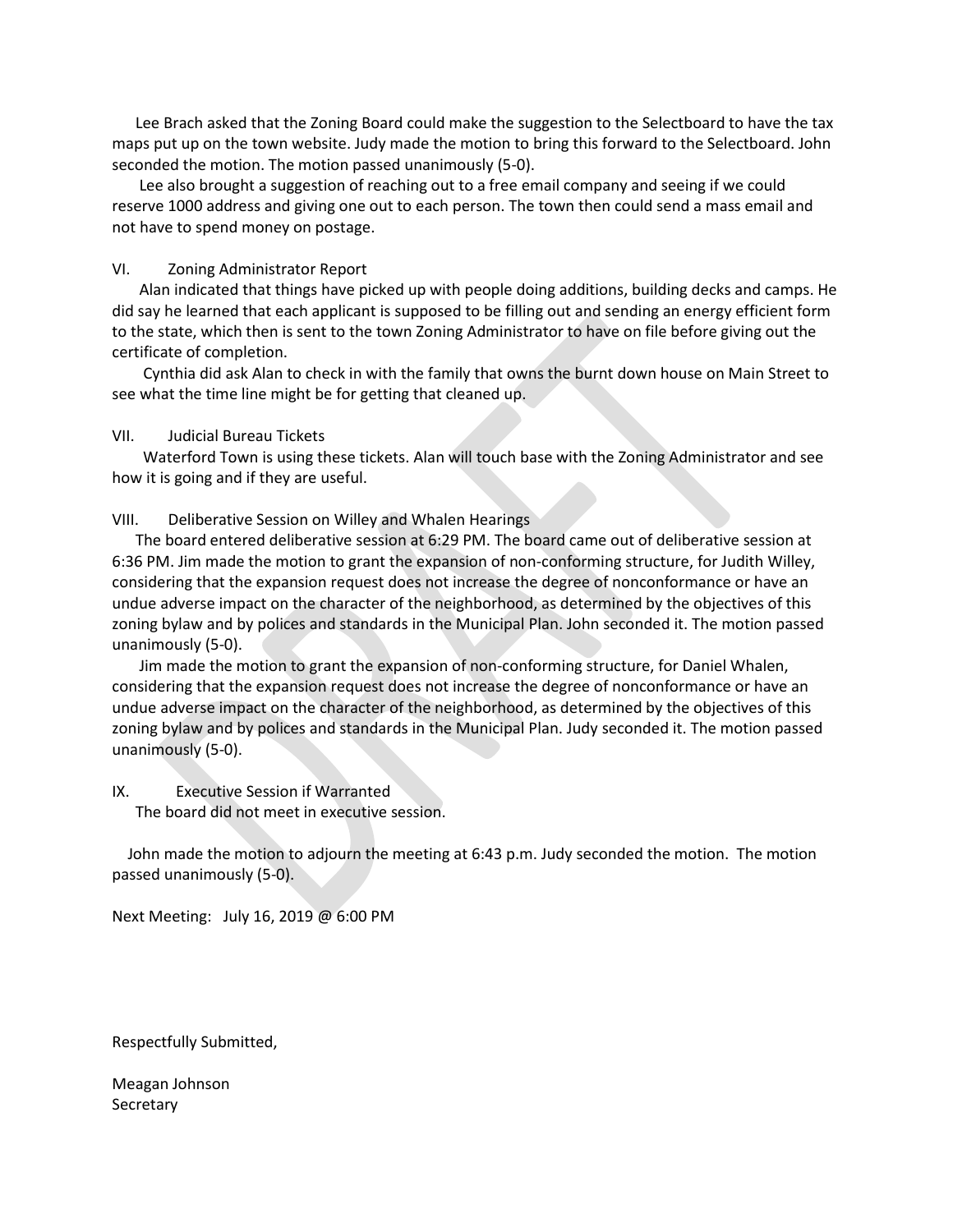Lee Brach asked that the Zoning Board could make the suggestion to the Selectboard to have the tax maps put up on the town website. Judy made the motion to bring this forward to the Selectboard. John seconded the motion. The motion passed unanimously (5-0).

 Lee also brought a suggestion of reaching out to a free email company and seeing if we could reserve 1000 address and giving one out to each person. The town then could send a mass email and not have to spend money on postage.

### VI. Zoning Administrator Report

 Alan indicated that things have picked up with people doing additions, building decks and camps. He did say he learned that each applicant is supposed to be filling out and sending an energy efficient form to the state, which then is sent to the town Zoning Administrator to have on file before giving out the certificate of completion.

 Cynthia did ask Alan to check in with the family that owns the burnt down house on Main Street to see what the time line might be for getting that cleaned up.

### VII. Judicial Bureau Tickets

 Waterford Town is using these tickets. Alan will touch base with the Zoning Administrator and see how it is going and if they are useful.

#### VIII. Deliberative Session on Willey and Whalen Hearings

 The board entered deliberative session at 6:29 PM. The board came out of deliberative session at 6:36 PM. Jim made the motion to grant the expansion of non-conforming structure, for Judith Willey, considering that the expansion request does not increase the degree of nonconformance or have an undue adverse impact on the character of the neighborhood, as determined by the objectives of this zoning bylaw and by polices and standards in the Municipal Plan. John seconded it. The motion passed unanimously (5-0).

 Jim made the motion to grant the expansion of non-conforming structure, for Daniel Whalen, considering that the expansion request does not increase the degree of nonconformance or have an undue adverse impact on the character of the neighborhood, as determined by the objectives of this zoning bylaw and by polices and standards in the Municipal Plan. Judy seconded it. The motion passed unanimously (5-0).

# IX. Executive Session if Warranted

The board did not meet in executive session.

 John made the motion to adjourn the meeting at 6:43 p.m. Judy seconded the motion. The motion passed unanimously (5-0).

Next Meeting: July 16, 2019 @ 6:00 PM

Respectfully Submitted,

Meagan Johnson **Secretary**